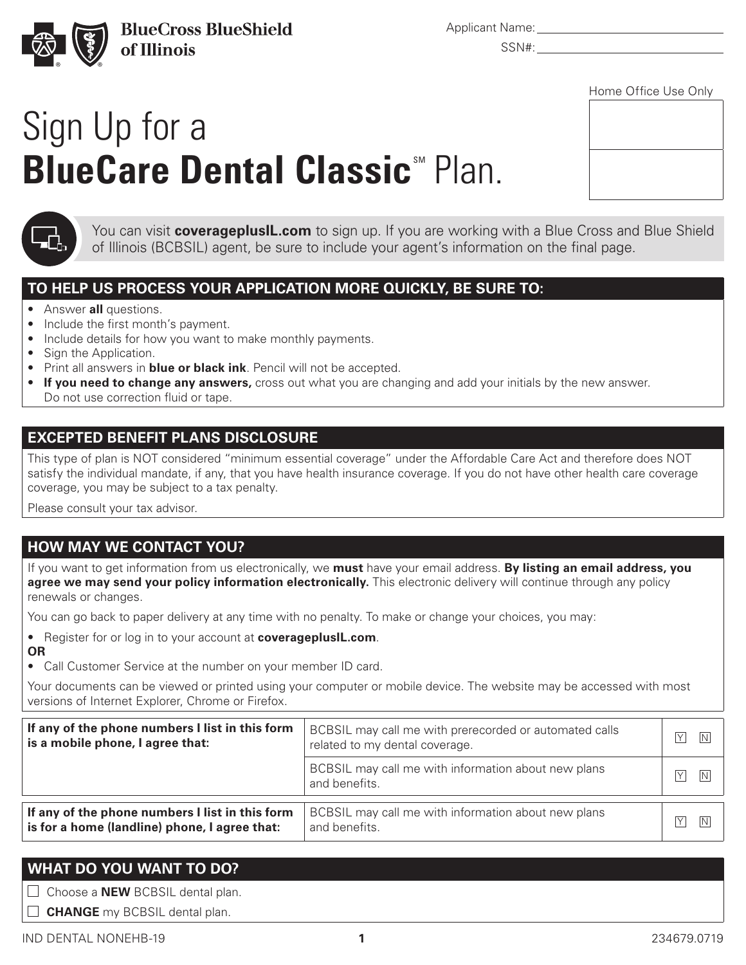

**BlueCross BlueShield** of Illinois

Applicant Name:

SSN#:

# Sign Up for a **BlueCare Dental Classic**<sup>M</sup> Plan.

| idina dinaa dad ding |  |  |
|----------------------|--|--|
|                      |  |  |
|                      |  |  |
|                      |  |  |
|                      |  |  |
|                      |  |  |
|                      |  |  |
|                      |  |  |
|                      |  |  |
|                      |  |  |
|                      |  |  |
|                      |  |  |
|                      |  |  |
|                      |  |  |
|                      |  |  |
|                      |  |  |



You can visit **coverageplusIL.com** to sign up. If you are working with a Blue Cross and Blue Shield of Illinois (BCBSIL) agent, be sure to include your agent's information on the final page.

## **TO HELP US PROCESS YOUR APPLICATION MORE QUICKLY, BE SURE TO:**

- Answer **all** questions.
- Include the first month's payment.
- Include details for how you want to make monthly payments.
- Sign the Application.
- Print all answers in **blue or black ink**. Pencil will not be accepted.
- **If you need to change any answers,** cross out what you are changing and add your initials by the new answer. Do not use correction fluid or tape.

### **EXCEPTED BENEFIT PLANS DISCLOSURE**

This type of plan is NOT considered "minimum essential coverage" under the Affordable Care Act and therefore does NOT satisfy the individual mandate, if any, that you have health insurance coverage. If you do not have other health care coverage coverage, you may be subject to a tax penalty.

Please consult your tax advisor.

## **HOW MAY WE CONTACT YOU?**

If you want to get information from us electronically, we **must** have your email address. **By listing an email address, you agree we may send your policy information electronically.** This electronic delivery will continue through any policy renewals or changes.

You can go back to paper delivery at any time with no penalty. To make or change your choices, you may:

- Register for or log in to your account at **coverageplusIL.com**. **OR**
- Call Customer Service at the number on your member ID card.

Your documents can be viewed or printed using your computer or mobile device. The website may be accessed with most versions of Internet Explorer, Chrome or Firefox.

| If any of the phone numbers I list in this form | BCBSIL may call me with prerecorded or automated calls               | IY.                  |
|-------------------------------------------------|----------------------------------------------------------------------|----------------------|
| is a mobile phone, I agree that:                | related to my dental coverage.                                       | INI                  |
|                                                 | BCBSIL may call me with information about new plans<br>and benefits. | $\overline{Y}$<br> N |
| If any of the phone numbers I list in this form | BCBSIL may call me with information about new plans                  | $\overline{Y}$       |
| is for a home (landline) phone, I agree that:   | and benefits.                                                        | N                    |

## **WHAT DO YOU WANT TO DO?**

 $\Box$  Choose a **NEW** BCBSIL dental plan.

**CHANGE** my BCBSIL dental plan.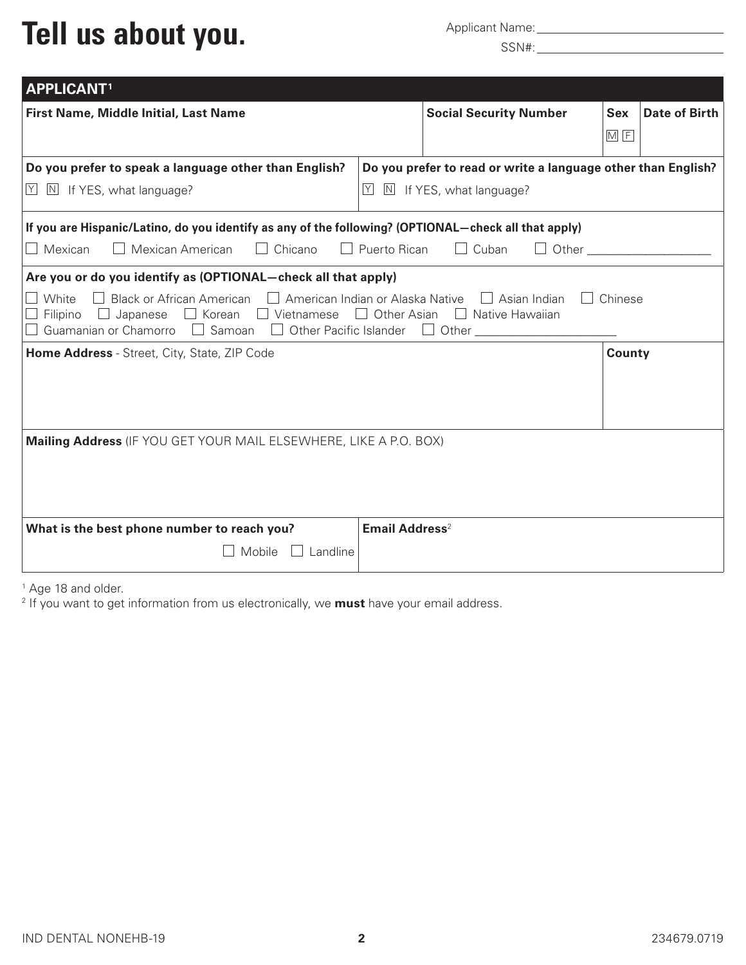## Tell us about you. Applicant Name: Applicant Name:

| <b>APPLICANT1</b>                                                                                                                                                                                                                                                                                                                                                                  |                                                                                                     |                                        |  |  |
|------------------------------------------------------------------------------------------------------------------------------------------------------------------------------------------------------------------------------------------------------------------------------------------------------------------------------------------------------------------------------------|-----------------------------------------------------------------------------------------------------|----------------------------------------|--|--|
| First Name, Middle Initial, Last Name                                                                                                                                                                                                                                                                                                                                              | <b>Social Security Number</b>                                                                       | Date of Birth<br><b>Sex</b><br>$M$ $F$ |  |  |
| Do you prefer to speak a language other than English?<br>Y<br>$\boxed{\text{N}}$ If YES, what language?                                                                                                                                                                                                                                                                            | Do you prefer to read or write a language other than English?<br> Y <br>N<br>If YES, what language? |                                        |  |  |
| If you are Hispanic/Latino, do you identify as any of the following? (OPTIONAL-check all that apply)<br>$\Box$ Mexican American<br>$\Box$ Mexican<br>$\mathbf{L}$<br>Chicano                                                                                                                                                                                                       | $\Box$ Puerto Rican<br>Cuban                                                                        | Other                                  |  |  |
| Are you or do you identify as (OPTIONAL-check all that apply)<br>White<br>Black or African American $\Box$ American Indian or Alaska Native $\Box$ Asian Indian<br>Chinese<br>$\Box$ Filipino $\Box$ Japanese $\Box$ Korean $\Box$ Vietnamese $\Box$ Other Asian $\Box$ Native Hawaiian<br>$\Box$ Samoan<br>Guamanian or Chamorro<br>Other Pacific Islander<br>$\Box$ Other $\Box$ |                                                                                                     |                                        |  |  |
| Home Address - Street, City, State, ZIP Code                                                                                                                                                                                                                                                                                                                                       |                                                                                                     | County                                 |  |  |
| Mailing Address (IF YOU GET YOUR MAIL ELSEWHERE, LIKE A P.O. BOX)                                                                                                                                                                                                                                                                                                                  |                                                                                                     |                                        |  |  |
| What is the best phone number to reach you?<br>Landline<br>Mobile                                                                                                                                                                                                                                                                                                                  | Email Address <sup>2</sup>                                                                          |                                        |  |  |

<sup>1</sup> Age 18 and older.

<sup>2</sup> If you want to get information from us electronically, we **must** have your email address.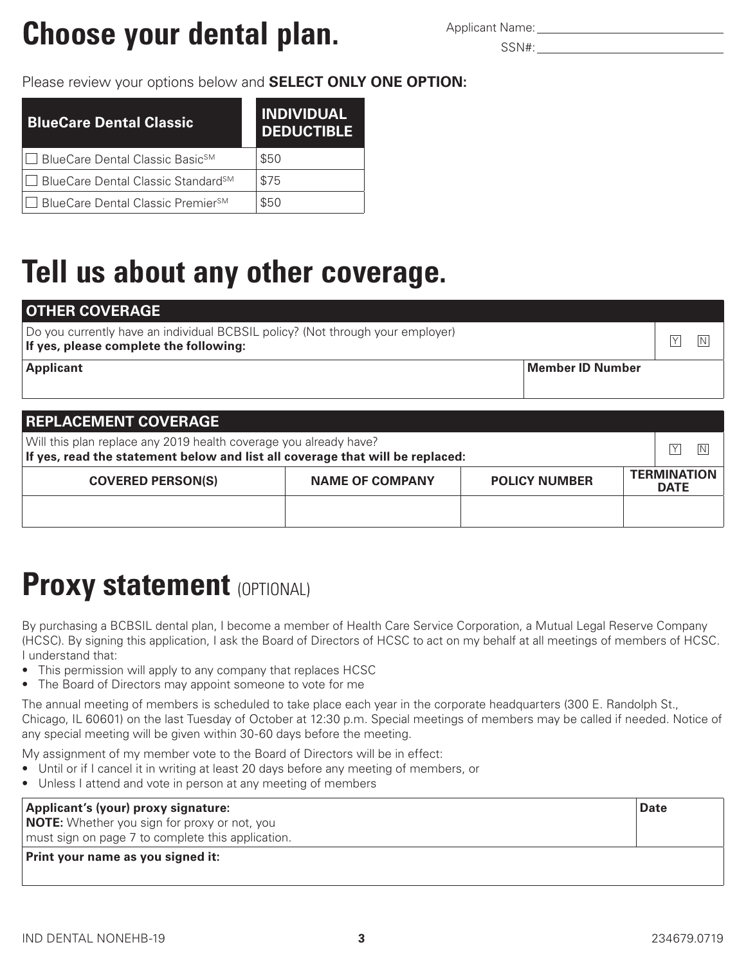## **Choose your dental plan.** Applicant Name:

### Please review your options below and **SELECT ONLY ONE OPTION:**

| BlueCare Dental Classic                                | <b>INDIVIDUAL</b><br><b>DEDUCTIBLE</b> |
|--------------------------------------------------------|----------------------------------------|
| <b> </b> □ BlueCare Dental Classic Basic <sup>sM</sup> | \$50                                   |
| J BlueCare Dental Classic Standard <sup>sM</sup>       | \$75                                   |
| J BlueCare Dental Classic Premier <sup>sM</sup>        | \$50                                   |

## **Tell us about any other coverage.**

| <b>OTHER COVERAGE</b>                                                                                                    |    |
|--------------------------------------------------------------------------------------------------------------------------|----|
| Do you currently have an individual BCBSIL policy? (Not through your employer)<br>If yes, please complete the following: | ΙN |
| Member ID Number<br><b>Applicant</b>                                                                                     |    |
|                                                                                                                          |    |

| <b>REPLACEMENT COVERAGE</b>                                                                                                                              |                        |                      |                                   |  |  |
|----------------------------------------------------------------------------------------------------------------------------------------------------------|------------------------|----------------------|-----------------------------------|--|--|
| Will this plan replace any 2019 health coverage you already have?<br>ΙY<br>If yes, read the statement below and list all coverage that will be replaced: |                        |                      |                                   |  |  |
| <b>COVERED PERSON(S)</b>                                                                                                                                 | <b>NAME OF COMPANY</b> | <b>POLICY NUMBER</b> | <b>TERMINATION</b><br><b>DATE</b> |  |  |
|                                                                                                                                                          |                        |                      |                                   |  |  |

## **Proxy statement (OPTIONAL)**

By purchasing a BCBSIL dental plan, I become a member of Health Care Service Corporation, a Mutual Legal Reserve Company (HCSC). By signing this application, I ask the Board of Directors of HCSC to act on my behalf at all meetings of members of HCSC. I understand that:

- This permission will apply to any company that replaces HCSC
- The Board of Directors may appoint someone to vote for me

The annual meeting of members is scheduled to take place each year in the corporate headquarters (300 E. Randolph St., Chicago, IL 60601) on the last Tuesday of October at 12:30 p.m. Special meetings of members may be called if needed. Notice of any special meeting will be given within 30-60 days before the meeting.

My assignment of my member vote to the Board of Directors will be in effect:

- Until or if I cancel it in writing at least 20 days before any meeting of members, or
- Unless I attend and vote in person at any meeting of members

| Applicant's (your) proxy signature:                 | <b>Date</b> |
|-----------------------------------------------------|-------------|
| <b>NOTE:</b> Whether you sign for proxy or not, you |             |
| must sign on page 7 to complete this application.   |             |
| <b>Print your name as you signed it:</b>            |             |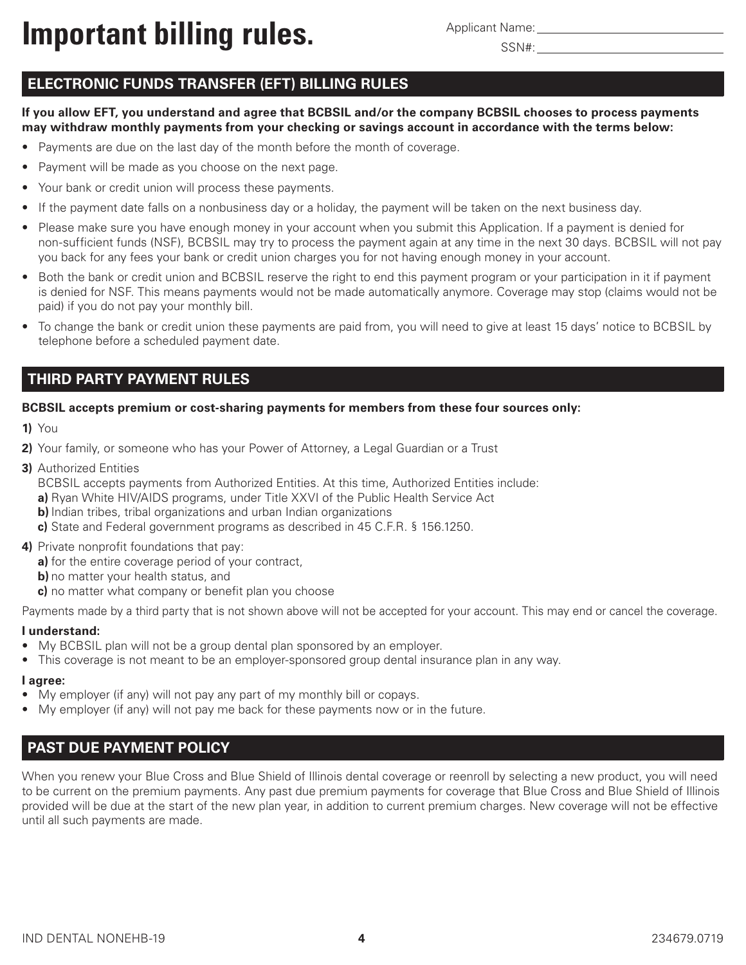**Important billing rules.** Applicant Name:

Applicant Name:

### **ELECTRONIC FUNDS TRANSFER (EFT) BILLING RULES**

**If you allow EFT, you understand and agree that BCBSIL and/or the company BCBSIL chooses to process payments may withdraw monthly payments from your checking or savings account in accordance with the terms below:**

- Payments are due on the last day of the month before the month of coverage.
- Payment will be made as you choose on the next page.
- Your bank or credit union will process these payments.
- If the payment date falls on a nonbusiness day or a holiday, the payment will be taken on the next business day.
- Please make sure you have enough money in your account when you submit this Application. If a payment is denied for non-sufficient funds (NSF), BCBSIL may try to process the payment again at any time in the next 30 days. BCBSIL will not pay you back for any fees your bank or credit union charges you for not having enough money in your account.
- Both the bank or credit union and BCBSIL reserve the right to end this payment program or your participation in it if payment is denied for NSF. This means payments would not be made automatically anymore. Coverage may stop (claims would not be paid) if you do not pay your monthly bill.
- To change the bank or credit union these payments are paid from, you will need to give at least 15 days' notice to BCBSIL by telephone before a scheduled payment date.

#### **THIRD PARTY PAYMENT RULES**

#### **BCBSIL accepts premium or cost-sharing payments for members from these four sources only:**

- **1)** You
- **2)** Your family, or someone who has your Power of Attorney, a Legal Guardian or a Trust
- **3)** Authorized Entities

BCBSIL accepts payments from Authorized Entities. At this time, Authorized Entities include:

- **a)** Ryan White HIV/AIDS programs, under Title XXVI of the Public Health Service Act
- **b)** Indian tribes, tribal organizations and urban Indian organizations
- **c)** State and Federal government programs as described in 45 C.F.R. § 156.1250.
- **4)** Private nonprofit foundations that pay:
	- **a)** for the entire coverage period of your contract,
	- **b)** no matter your health status, and
	- **c)** no matter what company or benefit plan you choose

Payments made by a third party that is not shown above will not be accepted for your account. This may end or cancel the coverage.

#### **I understand:**

- My BCBSIL plan will not be a group dental plan sponsored by an employer.
- This coverage is not meant to be an employer-sponsored group dental insurance plan in any way.

#### **I agree:**

- My employer (if any) will not pay any part of my monthly bill or copays.
- My employer (if any) will not pay me back for these payments now or in the future.

### **PAST DUE PAYMENT POLICY**

When you renew your Blue Cross and Blue Shield of Illinois dental coverage or reenroll by selecting a new product, you will need to be current on the premium payments. Any past due premium payments for coverage that Blue Cross and Blue Shield of Illinois provided will be due at the start of the new plan year, in addition to current premium charges. New coverage will not be effective until all such payments are made.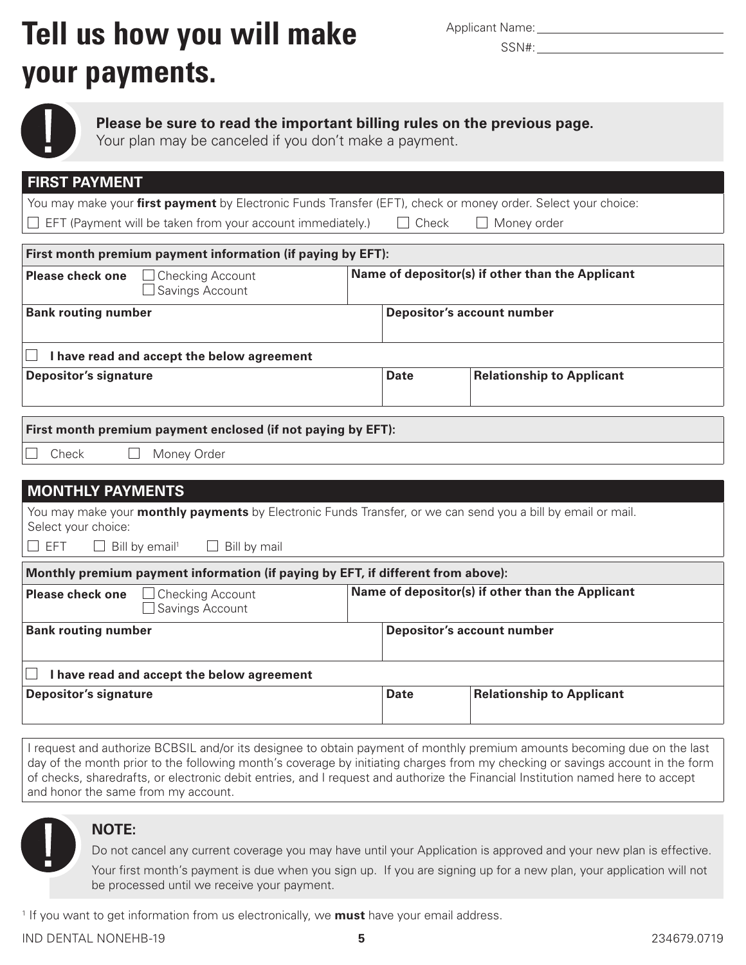## **Tell us how you will make** Applicant Name: **your payments.**

|  | <b>Applicant Name:</b> |
|--|------------------------|



**Please be sure to read the important billing rules on the previous page.**

Your plan may be canceled if you don't make a payment.

| <b>FIRST PAYMENT</b>                                                                                                                |                                                  |              |                                  |  |
|-------------------------------------------------------------------------------------------------------------------------------------|--------------------------------------------------|--------------|----------------------------------|--|
| You may make your first payment by Electronic Funds Transfer (EFT), check or money order. Select your choice:                       |                                                  |              |                                  |  |
| EFT (Payment will be taken from your account immediately.)                                                                          |                                                  | $\Box$ Check | $\Box$ Money order               |  |
|                                                                                                                                     |                                                  |              |                                  |  |
| First month premium payment information (if paying by EFT):                                                                         |                                                  |              |                                  |  |
| <b>Please check one</b><br><b>Checking Account</b><br>Savings Account                                                               | Name of depositor(s) if other than the Applicant |              |                                  |  |
| <b>Bank routing number</b>                                                                                                          | <b>Depositor's account number</b>                |              |                                  |  |
| I have read and accept the below agreement                                                                                          |                                                  |              |                                  |  |
| <b>Depositor's signature</b>                                                                                                        |                                                  | <b>Date</b>  | <b>Relationship to Applicant</b> |  |
|                                                                                                                                     |                                                  |              |                                  |  |
| First month premium payment enclosed (if not paying by EFT):                                                                        |                                                  |              |                                  |  |
| Check<br>Money Order                                                                                                                |                                                  |              |                                  |  |
|                                                                                                                                     |                                                  |              |                                  |  |
| <b>MONTHLY PAYMENTS</b>                                                                                                             |                                                  |              |                                  |  |
| You may make your monthly payments by Electronic Funds Transfer, or we can send you a bill by email or mail.<br>Select your choice: |                                                  |              |                                  |  |
| $\Box$ EFT<br>$\Box$ Bill by email <sup>1</sup><br>Bill by mail                                                                     |                                                  |              |                                  |  |
| Monthly premium payment information (if paying by EFT, if different from above):                                                    |                                                  |              |                                  |  |
| Name of depositor(s) if other than the Applicant<br><b>Checking Account</b><br><b>Please check one</b><br>Savings Account           |                                                  |              |                                  |  |
| <b>Bank routing number</b><br><b>Depositor's account number</b>                                                                     |                                                  |              |                                  |  |
| I have read and accept the below agreement                                                                                          |                                                  |              |                                  |  |
| <b>Depositor's signature</b><br><b>Relationship to Applicant</b><br><b>Date</b>                                                     |                                                  |              |                                  |  |
|                                                                                                                                     |                                                  |              |                                  |  |

I request and authorize BCBSIL and/or its designee to obtain payment of monthly premium amounts becoming due on the last day of the month prior to the following month's coverage by initiating charges from my checking or savings account in the form of checks, sharedrafts, or electronic debit entries, and I request and authorize the Financial Institution named here to accept and honor the same from my account.



#### **NOTE:**

Do not cancel any current coverage you may have until your Application is approved and your new plan is effective.

Your first month's payment is due when you sign up. If you are signing up for a new plan, your application will not be processed until we receive your payment.

<sup>1</sup> If you want to get information from us electronically, we **must** have your email address.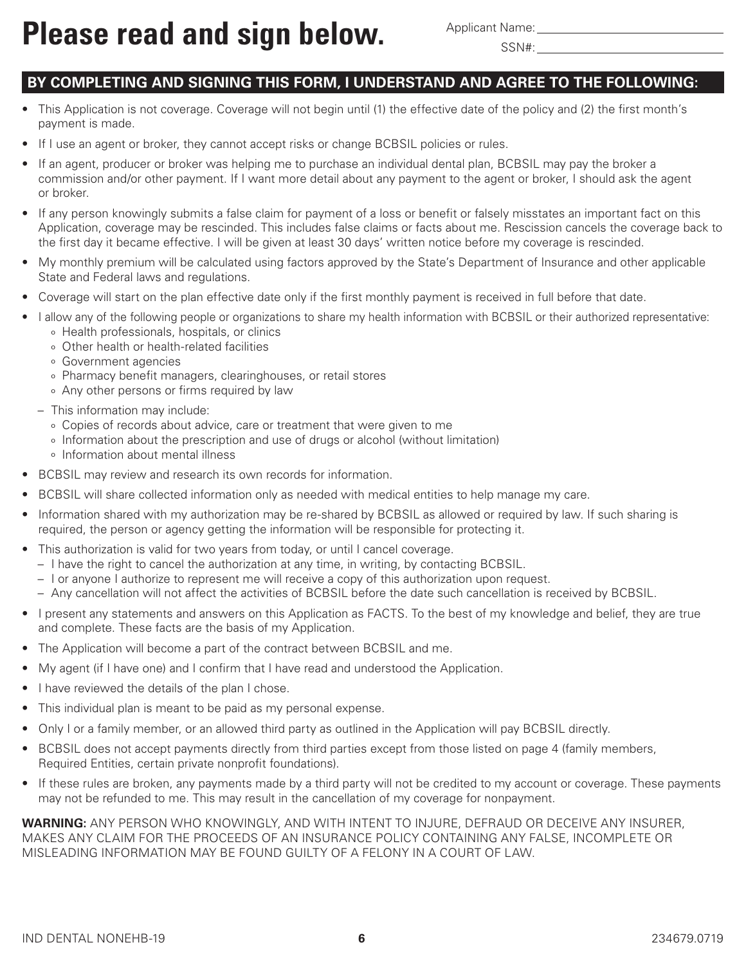### **BY COMPLETING AND SIGNING THIS FORM, I UNDERSTAND AND AGREE TO THE FOLLOWING:**

- This Application is not coverage. Coverage will not begin until (1) the effective date of the policy and (2) the first month's payment is made.
- If I use an agent or broker, they cannot accept risks or change BCBSIL policies or rules.
- If an agent, producer or broker was helping me to purchase an individual dental plan, BCBSIL may pay the broker a commission and/or other payment. If I want more detail about any payment to the agent or broker, I should ask the agent or broker.
- If any person knowingly submits a false claim for payment of a loss or benefit or falsely misstates an important fact on this Application, coverage may be rescinded. This includes false claims or facts about me. Rescission cancels the coverage back to the first day it became effective. I will be given at least 30 days' written notice before my coverage is rescinded.
- My monthly premium will be calculated using factors approved by the State's Department of Insurance and other applicable State and Federal laws and regulations.
- Coverage will start on the plan effective date only if the first monthly payment is received in full before that date.
- I allow any of the following people or organizations to share my health information with BCBSIL or their authorized representative: o Health professionals, hospitals, or clinics
	- o Other health or health-related facilities
	-
	- o Government agencies
	- o Pharmacy benefit managers, clearinghouses, or retail stores
	- o Any other persons or firms required by law
	- This information may include:
		- o Copies of records about advice, care or treatment that were given to me
		- o Information about the prescription and use of drugs or alcohol (without limitation)
		- o Information about mental illness
- BCBSIL may review and research its own records for information.
- BCBSIL will share collected information only as needed with medical entities to help manage my care.
- Information shared with my authorization may be re-shared by BCBSIL as allowed or required by law. If such sharing is required, the person or agency getting the information will be responsible for protecting it.
- This authorization is valid for two years from today, or until I cancel coverage.
	- I have the right to cancel the authorization at any time, in writing, by contacting BCBSIL.
	- I or anyone I authorize to represent me will receive a copy of this authorization upon request.
	- Any cancellation will not affect the activities of BCBSIL before the date such cancellation is received by BCBSIL.
- I present any statements and answers on this Application as FACTS. To the best of my knowledge and belief, they are true and complete. These facts are the basis of my Application.
- The Application will become a part of the contract between BCBSIL and me.
- My agent (if I have one) and I confirm that I have read and understood the Application.
- I have reviewed the details of the plan I chose.
- This individual plan is meant to be paid as my personal expense.
- Only I or a family member, or an allowed third party as outlined in the Application will pay BCBSIL directly.
- BCBSIL does not accept payments directly from third parties except from those listed on page 4 (family members, Required Entities, certain private nonprofit foundations).
- If these rules are broken, any payments made by a third party will not be credited to my account or coverage. These payments may not be refunded to me. This may result in the cancellation of my coverage for nonpayment.

**WARNING:** ANY PERSON WHO KNOWINGLY, AND WITH INTENT TO INJURE, DEFRAUD OR DECEIVE ANY INSURER, MAKES ANY CLAIM FOR THE PROCEEDS OF AN INSURANCE POLICY CONTAINING ANY FALSE, INCOMPLETE OR MISLEADING INFORMATION MAY BE FOUND GUILTY OF A FELONY IN A COURT OF LAW.